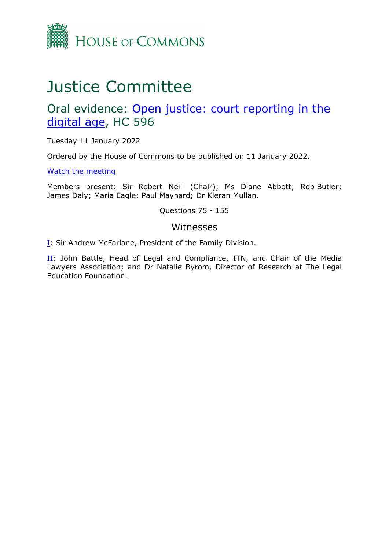

# Justice Committee

# Oral evidence: [Open](https://committees.parliament.uk/work/1505/open-justice-court-reporting-in-the-digital-age/) [justice:](https://committees.parliament.uk/work/1505/open-justice-court-reporting-in-the-digital-age/) [court](https://committees.parliament.uk/work/1505/open-justice-court-reporting-in-the-digital-age/) [reporting](https://committees.parliament.uk/work/1505/open-justice-court-reporting-in-the-digital-age/) [in](https://committees.parliament.uk/work/1505/open-justice-court-reporting-in-the-digital-age/) [the](https://committees.parliament.uk/work/1505/open-justice-court-reporting-in-the-digital-age/) [digital](https://committees.parliament.uk/work/1505/open-justice-court-reporting-in-the-digital-age/) [age,](https://committees.parliament.uk/work/1505/open-justice-court-reporting-in-the-digital-age/) HC 596

Tuesday 11 January 2022

Ordered by the House of Commons to be published on 11 January 2022.

[Watch](https://parliamentlive.tv/Event/Index/3c2d1049-8410-48a8-8cda-e186105418d5) [the](https://parliamentlive.tv/Event/Index/3c2d1049-8410-48a8-8cda-e186105418d5) [meeting](https://parliamentlive.tv/Event/Index/3c2d1049-8410-48a8-8cda-e186105418d5)

Members present: Sir Robert Neill (Chair); Ms Diane Abbott; Rob Butler; James Daly; Maria Eagle; Paul Maynard; Dr Kieran Mullan.

Questions 75 - 155

#### Witnesses

[I:](#page-1-0) Sir Andrew McFarlane, President of the Family Division.

 $II$ : John Battle, Head of Legal and Compliance, ITN, and Chair of the Media Lawyers Association; and Dr Natalie Byrom, Director of Research at The Legal Education Foundation.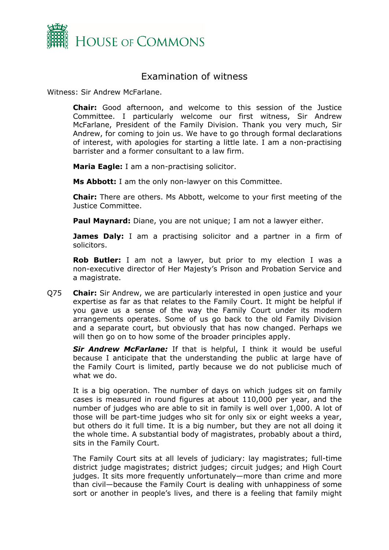

## <span id="page-1-0"></span>Examination of witness

Witness: Sir Andrew McFarlane.

**Chair:** Good afternoon, and welcome to this session of the Justice Committee. I particularly welcome our first witness, Sir Andrew McFarlane, President of the Family Division. Thank you very much, Sir Andrew, for coming to join us. We have to go through formal declarations of interest, with apologies for starting a little late. I am a non-practising barrister and a former consultant to a law firm.

**Maria Eagle:** I am a non-practising solicitor.

**Ms Abbott:** I am the only non-lawyer on this Committee.

**Chair:** There are others. Ms Abbott, welcome to your first meeting of the Justice Committee.

**Paul Maynard:** Diane, you are not unique; I am not a lawyer either.

**James Daly:** I am a practising solicitor and a partner in a firm of solicitors.

**Rob Butler:** I am not a lawyer, but prior to my election I was a non-executive director of Her Majesty's Prison and Probation Service and a magistrate.

Q75 **Chair:** Sir Andrew, we are particularly interested in open justice and your expertise as far as that relates to the Family Court. It might be helpful if you gave us a sense of the way the Family Court under its modern arrangements operates. Some of us go back to the old Family Division and a separate court, but obviously that has now changed. Perhaps we will then go on to how some of the broader principles apply.

*Sir Andrew McFarlane:* If that is helpful, I think it would be useful because I anticipate that the understanding the public at large have of the Family Court is limited, partly because we do not publicise much of what we do.

It is a big operation. The number of days on which judges sit on family cases is measured in round figures at about 110,000 per year, and the number of judges who are able to sit in family is well over 1,000. A lot of those will be part-time judges who sit for only six or eight weeks a year, but others do it full time. It is a big number, but they are not all doing it the whole time. A substantial body of magistrates, probably about a third, sits in the Family Court.

The Family Court sits at all levels of judiciary: lay magistrates; full-time district judge magistrates; district judges; circuit judges; and High Court judges. It sits more frequently unfortunately—more than crime and more than civil—because the Family Court is dealing with unhappiness of some sort or another in people's lives, and there is a feeling that family might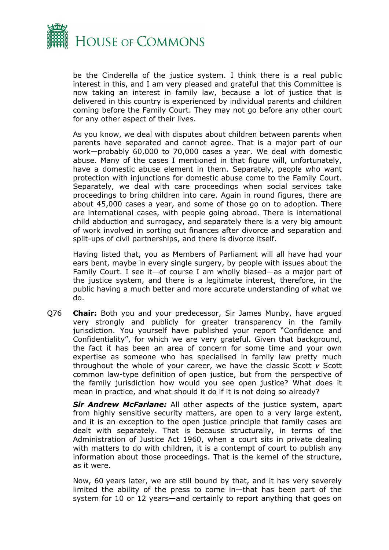

be the Cinderella of the justice system. I think there is a real public interest in this, and I am very pleased and grateful that this Committee is now taking an interest in family law, because a lot of justice that is delivered in this country is experienced by individual parents and children coming before the Family Court. They may not go before any other court for any other aspect of their lives.

As you know, we deal with disputes about children between parents when parents have separated and cannot agree. That is a major part of our work—probably 60,000 to 70,000 cases a year. We deal with domestic abuse. Many of the cases I mentioned in that figure will, unfortunately, have a domestic abuse element in them. Separately, people who want protection with injunctions for domestic abuse come to the Family Court. Separately, we deal with care proceedings when social services take proceedings to bring children into care. Again in round figures, there are about 45,000 cases a year, and some of those go on to adoption. There are international cases, with people going abroad. There is international child abduction and surrogacy, and separately there is a very big amount of work involved in sorting out finances after divorce and separation and split-ups of civil partnerships, and there is divorce itself.

Having listed that, you as Members of Parliament will all have had your ears bent, maybe in every single surgery, by people with issues about the Family Court. I see it—of course I am wholly biased—as a major part of the justice system, and there is a legitimate interest, therefore, in the public having a much better and more accurate understanding of what we do.

Q76 **Chair:** Both you and your predecessor, Sir James Munby, have argued very strongly and publicly for greater transparency in the family jurisdiction. You yourself have published your report "Confidence and Confidentiality", for which we are very grateful. Given that background, the fact it has been an area of concern for some time and your own expertise as someone who has specialised in family law pretty much throughout the whole of your career, we have the classic Scott *v* Scott common law-type definition of open justice, but from the perspective of the family jurisdiction how would you see open justice? What does it mean in practice, and what should it do if it is not doing so already?

*Sir Andrew McFarlane:* All other aspects of the justice system, apart from highly sensitive security matters, are open to a very large extent, and it is an exception to the open justice principle that family cases are dealt with separately. That is because structurally, in terms of the Administration of Justice Act 1960, when a court sits in private dealing with matters to do with children, it is a contempt of court to publish any information about those proceedings. That is the kernel of the structure, as it were.

Now, 60 years later, we are still bound by that, and it has very severely limited the ability of the press to come in—that has been part of the system for 10 or 12 years—and certainly to report anything that goes on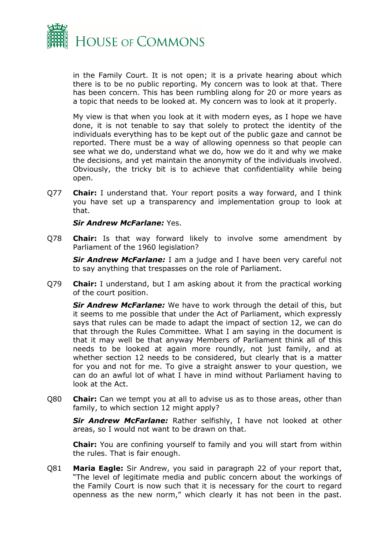

in the Family Court. It is not open; it is a private hearing about which there is to be no public reporting. My concern was to look at that. There has been concern. This has been rumbling along for 20 or more years as a topic that needs to be looked at. My concern was to look at it properly.

My view is that when you look at it with modern eyes, as I hope we have done, it is not tenable to say that solely to protect the identity of the individuals everything has to be kept out of the public gaze and cannot be reported. There must be a way of allowing openness so that people can see what we do, understand what we do, how we do it and why we make the decisions, and yet maintain the anonymity of the individuals involved. Obviously, the tricky bit is to achieve that confidentiality while being open.

Q77 **Chair:** I understand that. Your report posits a way forward, and I think you have set up a transparency and implementation group to look at that.

#### *Sir Andrew McFarlane:* Yes.

Q78 **Chair:** Is that way forward likely to involve some amendment by Parliament of the 1960 legislation?

*Sir Andrew McFarlane:* I am a judge and I have been very careful not to say anything that trespasses on the role of Parliament.

Q79 **Chair:** I understand, but I am asking about it from the practical working of the court position.

*Sir Andrew McFarlane:* We have to work through the detail of this, but it seems to me possible that under the Act of Parliament, which expressly says that rules can be made to adapt the impact of section 12, we can do that through the Rules Committee. What I am saying in the document is that it may well be that anyway Members of Parliament think all of this needs to be looked at again more roundly, not just family, and at whether section 12 needs to be considered, but clearly that is a matter for you and not for me. To give a straight answer to your question, we can do an awful lot of what I have in mind without Parliament having to look at the Act.

Q80 **Chair:** Can we tempt you at all to advise us as to those areas, other than family, to which section 12 might apply?

*Sir Andrew McFarlane:* Rather selfishly, I have not looked at other areas, so I would not want to be drawn on that.

**Chair:** You are confining yourself to family and you will start from within the rules. That is fair enough.

Q81 **Maria Eagle:** Sir Andrew, you said in paragraph 22 of your report that, "The level of legitimate media and public concern about the workings of the Family Court is now such that it is necessary for the court to regard openness as the new norm," which clearly it has not been in the past.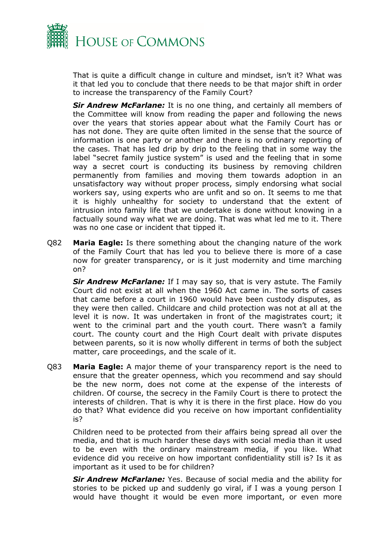

That is quite a difficult change in culture and mindset, isn't it? What was it that led you to conclude that there needs to be that major shift in order to increase the transparency of the Family Court?

*Sir Andrew McFarlane:* It is no one thing, and certainly all members of the Committee will know from reading the paper and following the news over the years that stories appear about what the Family Court has or has not done. They are quite often limited in the sense that the source of information is one party or another and there is no ordinary reporting of the cases. That has led drip by drip to the feeling that in some way the label "secret family justice system" is used and the feeling that in some way a secret court is conducting its business by removing children permanently from families and moving them towards adoption in an unsatisfactory way without proper process, simply endorsing what social workers say, using experts who are unfit and so on. It seems to me that it is highly unhealthy for society to understand that the extent of intrusion into family life that we undertake is done without knowing in a factually sound way what we are doing. That was what led me to it. There was no one case or incident that tipped it.

Q82 **Maria Eagle:** Is there something about the changing nature of the work of the Family Court that has led you to believe there is more of a case now for greater transparency, or is it just modernity and time marching on?

*Sir Andrew McFarlane:* If I may say so, that is very astute. The Family Court did not exist at all when the 1960 Act came in. The sorts of cases that came before a court in 1960 would have been custody disputes, as they were then called. Childcare and child protection was not at all at the level it is now. It was undertaken in front of the magistrates court; it went to the criminal part and the youth court. There wasn't a family court. The county court and the High Court dealt with private disputes between parents, so it is now wholly different in terms of both the subject matter, care proceedings, and the scale of it.

Q83 **Maria Eagle:** A major theme of your transparency report is the need to ensure that the greater openness, which you recommend and say should be the new norm, does not come at the expense of the interests of children. Of course, the secrecy in the Family Court is there to protect the interests of children. That is why it is there in the first place. How do you do that? What evidence did you receive on how important confidentiality is?

Children need to be protected from their affairs being spread all over the media, and that is much harder these days with social media than it used to be even with the ordinary mainstream media, if you like. What evidence did you receive on how important confidentiality still is? Is it as important as it used to be for children?

*Sir Andrew McFarlane:* Yes. Because of social media and the ability for stories to be picked up and suddenly go viral, if I was a young person I would have thought it would be even more important, or even more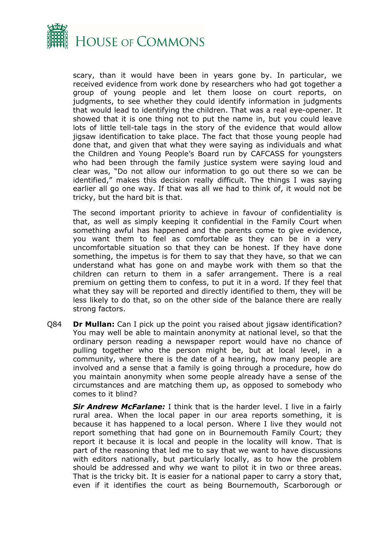

scary, than it would have been in years gone by. In particular, we received evidence from work done by researchers who had got together a group of young people and let them loose on court reports, on judgments, to see whether they could identify information in judgments that would lead to identifying the children. That was a real eye-opener. It showed that it is one thing not to put the name in, but you could leave lots of little tell-tale tags in the story of the evidence that would allow jigsaw identification to take place. The fact that those young people had done that, and given that what they were saying as individuals and what the Children and Young People's Board run by CAFCASS for youngsters who had been through the family justice system were saying loud and clear was, "Do not allow our information to go out there so we can be identified," makes this decision really difficult. The things I was saying earlier all go one way. If that was all we had to think of, it would not be tricky, but the hard bit is that.

The second important priority to achieve in favour of confidentiality is that, as well as simply keeping it confidential in the Family Court when something awful has happened and the parents come to give evidence, you want them to feel as comfortable as they can be in a very uncomfortable situation so that they can be honest. If they have done something, the impetus is for them to say that they have, so that we can understand what has gone on and maybe work with them so that the children can return to them in a safer arrangement. There is a real premium on getting them to confess, to put it in a word. If they feel that what they say will be reported and directly identified to them, they will be less likely to do that, so on the other side of the balance there are really strong factors.

Q84 **Dr Mullan:** Can I pick up the point you raised about jigsaw identification? You may well be able to maintain anonymity at national level, so that the ordinary person reading a newspaper report would have no chance of pulling together who the person might be, but at local level, in a community, where there is the date of a hearing, how many people are involved and a sense that a family is going through a procedure, how do you maintain anonymity when some people already have a sense of the circumstances and are matching them up, as opposed to somebody who comes to it blind?

*Sir Andrew McFarlane:* I think that is the harder level. I live in a fairly rural area. When the local paper in our area reports something, it is because it has happened to a local person. Where I live they would not report something that had gone on in Bournemouth Family Court; they report it because it is local and people in the locality will know. That is part of the reasoning that led me to say that we want to have discussions with editors nationally, but particularly locally, as to how the problem should be addressed and why we want to pilot it in two or three areas. That is the tricky bit. It is easier for a national paper to carry a story that, even if it identifies the court as being Bournemouth, Scarborough or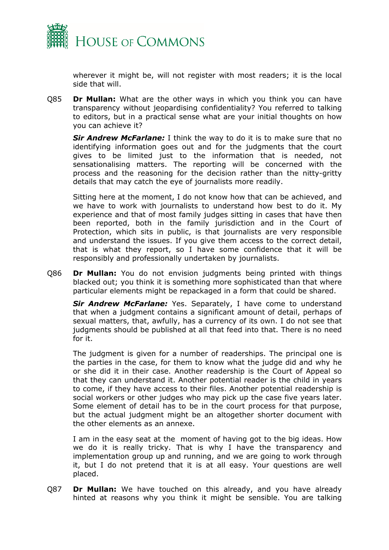

wherever it might be, will not register with most readers; it is the local side that will.

Q85 **Dr Mullan:** What are the other ways in which you think you can have transparency without jeopardising confidentiality? You referred to talking to editors, but in a practical sense what are your initial thoughts on how you can achieve it?

*Sir Andrew McFarlane:* I think the way to do it is to make sure that no identifying information goes out and for the judgments that the court gives to be limited just to the information that is needed, not sensationalising matters. The reporting will be concerned with the process and the reasoning for the decision rather than the nitty-gritty details that may catch the eye of journalists more readily.

Sitting here at the moment, I do not know how that can be achieved, and we have to work with journalists to understand how best to do it. My experience and that of most family judges sitting in cases that have then been reported, both in the family jurisdiction and in the Court of Protection, which sits in public, is that journalists are very responsible and understand the issues. If you give them access to the correct detail, that is what they report, so I have some confidence that it will be responsibly and professionally undertaken by journalists.

Q86 **Dr Mullan:** You do not envision judgments being printed with things blacked out; you think it is something more sophisticated than that where particular elements might be repackaged in a form that could be shared.

*Sir Andrew McFarlane:* Yes. Separately, I have come to understand that when a judgment contains a significant amount of detail, perhaps of sexual matters, that, awfully, has a currency of its own. I do not see that judgments should be published at all that feed into that. There is no need for it.

The judgment is given for a number of readerships. The principal one is the parties in the case, for them to know what the judge did and why he or she did it in their case. Another readership is the Court of Appeal so that they can understand it. Another potential reader is the child in years to come, if they have access to their files. Another potential readership is social workers or other judges who may pick up the case five years later. Some element of detail has to be in the court process for that purpose, but the actual judgment might be an altogether shorter document with the other elements as an annexe.

I am in the easy seat at the moment of having got to the big ideas. How we do it is really tricky. That is why I have the transparency and implementation group up and running, and we are going to work through it, but I do not pretend that it is at all easy. Your questions are well placed.

Q87 **Dr Mullan:** We have touched on this already, and you have already hinted at reasons why you think it might be sensible. You are talking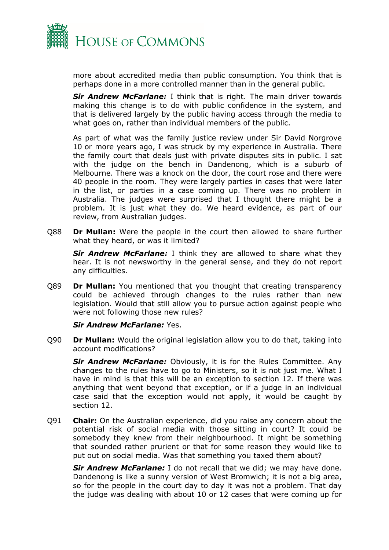

more about accredited media than public consumption. You think that is perhaps done in a more controlled manner than in the general public.

*Sir Andrew McFarlane:* I think that is right. The main driver towards making this change is to do with public confidence in the system, and that is delivered largely by the public having access through the media to what goes on, rather than individual members of the public.

As part of what was the family justice review under Sir David Norgrove 10 or more years ago, I was struck by my experience in Australia. There the family court that deals just with private disputes sits in public. I sat with the judge on the bench in Dandenong, which is a suburb of Melbourne. There was a knock on the door, the court rose and there were 40 people in the room. They were largely parties in cases that were later in the list, or parties in a case coming up. There was no problem in Australia. The judges were surprised that I thought there might be a problem. It is just what they do. We heard evidence, as part of our review, from Australian judges.

Q88 **Dr Mullan:** Were the people in the court then allowed to share further what they heard, or was it limited?

*Sir Andrew McFarlane:* I think they are allowed to share what they hear. It is not newsworthy in the general sense, and they do not report any difficulties.

Q89 **Dr Mullan:** You mentioned that you thought that creating transparency could be achieved through changes to the rules rather than new legislation. Would that still allow you to pursue action against people who were not following those new rules?

#### *Sir Andrew McFarlane:* Yes.

Q90 **Dr Mullan:** Would the original legislation allow you to do that, taking into account modifications?

*Sir Andrew McFarlane:* Obviously, it is for the Rules Committee. Any changes to the rules have to go to Ministers, so it is not just me. What I have in mind is that this will be an exception to section 12. If there was anything that went beyond that exception, or if a judge in an individual case said that the exception would not apply, it would be caught by section 12.

Q91 **Chair:** On the Australian experience, did you raise any concern about the potential risk of social media with those sitting in court? It could be somebody they knew from their neighbourhood. It might be something that sounded rather prurient or that for some reason they would like to put out on social media. Was that something you taxed them about?

**Sir Andrew McFarlane:** I do not recall that we did; we may have done. Dandenong is like a sunny version of West Bromwich; it is not a big area, so for the people in the court day to day it was not a problem. That day the judge was dealing with about 10 or 12 cases that were coming up for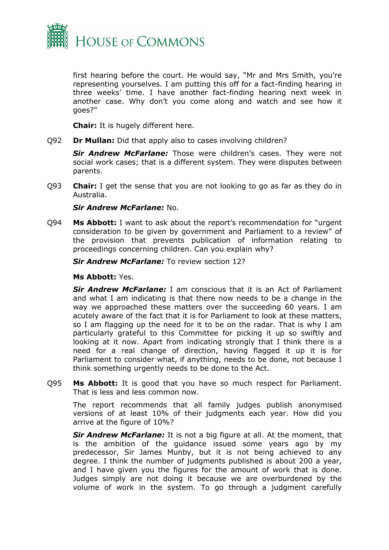

first hearing before the court. He would say, "Mr and Mrs Smith, you're representing yourselves. I am putting this off for a fact-finding hearing in three weeks' time. I have another fact-finding hearing next week in another case. Why don't you come along and watch and see how it goes?"

**Chair:** It is hugely different here.

Q92 **Dr Mullan:** Did that apply also to cases involving children?

*Sir Andrew McFarlane:* Those were children's cases. They were not social work cases; that is a different system. They were disputes between parents.

Q93 **Chair:** I get the sense that you are not looking to go as far as they do in Australia.

#### *Sir Andrew McFarlane:* No.

Q94 **Ms Abbott:** I want to ask about the report's recommendation for "urgent consideration to be given by government and Parliament to a review" of the provision that prevents publication of information relating to proceedings concerning children. Can you explain why?

*Sir Andrew McFarlane:* To review section 12?

#### **Ms Abbott:** Yes.

*Sir Andrew McFarlane:* I am conscious that it is an Act of Parliament and what I am indicating is that there now needs to be a change in the way we approached these matters over the succeeding 60 years. I am acutely aware of the fact that it is for Parliament to look at these matters, so I am flagging up the need for it to be on the radar. That is why I am particularly grateful to this Committee for picking it up so swiftly and looking at it now. Apart from indicating strongly that I think there is a need for a real change of direction, having flagged it up it is for Parliament to consider what, if anything, needs to be done, not because I think something urgently needs to be done to the Act.

Q95 **Ms Abbott:** It is good that you have so much respect for Parliament. That is less and less common now.

The report recommends that all family judges publish anonymised versions of at least 10% of their judgments each year. How did you arrive at the figure of 10%?

*Sir Andrew McFarlane:* It is not a big figure at all. At the moment, that is the ambition of the guidance issued some years ago by my predecessor, Sir James Munby, but it is not being achieved to any degree. I think the number of judgments published is about 200 a year, and I have given you the figures for the amount of work that is done. Judges simply are not doing it because we are overburdened by the volume of work in the system. To go through a judgment carefully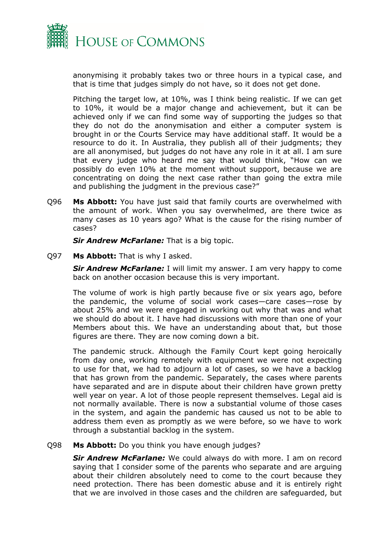

anonymising it probably takes two or three hours in a typical case, and that is time that judges simply do not have, so it does not get done.

Pitching the target low, at 10%, was I think being realistic. If we can get to 10%, it would be a major change and achievement, but it can be achieved only if we can find some way of supporting the judges so that they do not do the anonymisation and either a computer system is brought in or the Courts Service may have additional staff. It would be a resource to do it. In Australia, they publish all of their judgments; they are all anonymised, but judges do not have any role in it at all. I am sure that every judge who heard me say that would think, "How can we possibly do even 10% at the moment without support, because we are concentrating on doing the next case rather than going the extra mile and publishing the judgment in the previous case?"

Q96 **Ms Abbott:** You have just said that family courts are overwhelmed with the amount of work. When you say overwhelmed, are there twice as many cases as 10 years ago? What is the cause for the rising number of cases?

*Sir Andrew McFarlane:* That is a big topic.

Q97 **Ms Abbott:** That is why I asked.

*Sir Andrew McFarlane:* I will limit my answer. I am very happy to come back on another occasion because this is very important.

The volume of work is high partly because five or six years ago, before the pandemic, the volume of social work cases—care cases—rose by about 25% and we were engaged in working out why that was and what we should do about it. I have had discussions with more than one of your Members about this. We have an understanding about that, but those figures are there. They are now coming down a bit.

The pandemic struck. Although the Family Court kept going heroically from day one, working remotely with equipment we were not expecting to use for that, we had to adjourn a lot of cases, so we have a backlog that has grown from the pandemic. Separately, the cases where parents have separated and are in dispute about their children have grown pretty well year on year. A lot of those people represent themselves. Legal aid is not normally available. There is now a substantial volume of those cases in the system, and again the pandemic has caused us not to be able to address them even as promptly as we were before, so we have to work through a substantial backlog in the system.

#### Q98 **Ms Abbott:** Do you think you have enough judges?

*Sir Andrew McFarlane:* We could always do with more. I am on record saying that I consider some of the parents who separate and are arguing about their children absolutely need to come to the court because they need protection. There has been domestic abuse and it is entirely right that we are involved in those cases and the children are safeguarded, but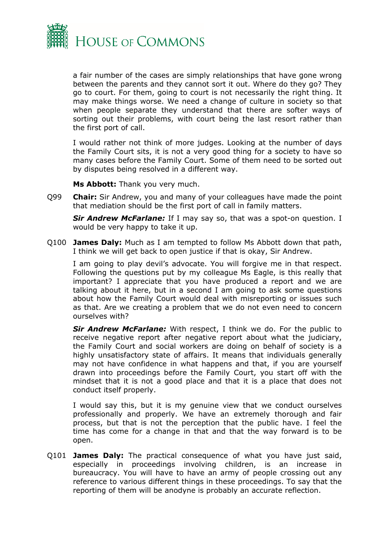

a fair number of the cases are simply relationships that have gone wrong between the parents and they cannot sort it out. Where do they go? They go to court. For them, going to court is not necessarily the right thing. It may make things worse. We need a change of culture in society so that when people separate they understand that there are softer ways of sorting out their problems, with court being the last resort rather than the first port of call.

I would rather not think of more judges. Looking at the number of days the Family Court sits, it is not a very good thing for a society to have so many cases before the Family Court. Some of them need to be sorted out by disputes being resolved in a different way.

**Ms Abbott:** Thank you very much.

Q99 **Chair:** Sir Andrew, you and many of your colleagues have made the point that mediation should be the first port of call in family matters.

*Sir Andrew McFarlane:* If I may say so, that was a spot-on question. I would be very happy to take it up.

Q100 **James Daly:** Much as I am tempted to follow Ms Abbott down that path, I think we will get back to open justice if that is okay, Sir Andrew.

I am going to play devil's advocate. You will forgive me in that respect. Following the questions put by my colleague Ms Eagle, is this really that important? I appreciate that you have produced a report and we are talking about it here, but in a second I am going to ask some questions about how the Family Court would deal with misreporting or issues such as that. Are we creating a problem that we do not even need to concern ourselves with?

*Sir Andrew McFarlane:* With respect, I think we do. For the public to receive negative report after negative report about what the judiciary, the Family Court and social workers are doing on behalf of society is a highly unsatisfactory state of affairs. It means that individuals generally may not have confidence in what happens and that, if you are yourself drawn into proceedings before the Family Court, you start off with the mindset that it is not a good place and that it is a place that does not conduct itself properly.

I would say this, but it is my genuine view that we conduct ourselves professionally and properly. We have an extremely thorough and fair process, but that is not the perception that the public have. I feel the time has come for a change in that and that the way forward is to be open.

Q101 **James Daly:** The practical consequence of what you have just said, especially in proceedings involving children, is an increase in bureaucracy. You will have to have an army of people crossing out any reference to various different things in these proceedings. To say that the reporting of them will be anodyne is probably an accurate reflection.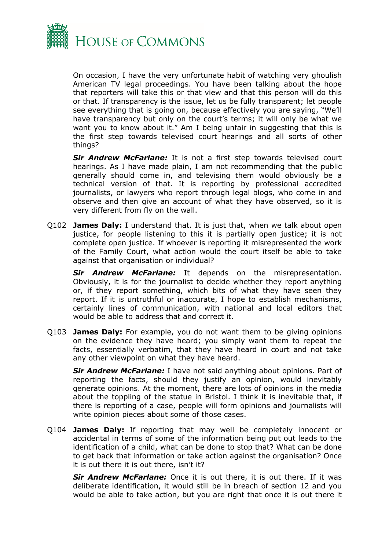

On occasion, I have the very unfortunate habit of watching very ghoulish American TV legal proceedings. You have been talking about the hope that reporters will take this or that view and that this person will do this or that. If transparency is the issue, let us be fully transparent; let people see everything that is going on, because effectively you are saying, "We'll have transparency but only on the court's terms; it will only be what we want you to know about it." Am I being unfair in suggesting that this is the first step towards televised court hearings and all sorts of other things?

*Sir Andrew McFarlane:* It is not a first step towards televised court hearings. As I have made plain, I am not recommending that the public generally should come in, and televising them would obviously be a technical version of that. It is reporting by professional accredited journalists, or lawyers who report through legal blogs, who come in and observe and then give an account of what they have observed, so it is very different from fly on the wall.

Q102 **James Daly:** I understand that. It is just that, when we talk about open justice, for people listening to this it is partially open justice; it is not complete open justice. If whoever is reporting it misrepresented the work of the Family Court, what action would the court itself be able to take against that organisation or individual?

*Sir Andrew McFarlane:* It depends on the misrepresentation. Obviously, it is for the journalist to decide whether they report anything or, if they report something, which bits of what they have seen they report. If it is untruthful or inaccurate, I hope to establish mechanisms, certainly lines of communication, with national and local editors that would be able to address that and correct it.

Q103 **James Daly:** For example, you do not want them to be giving opinions on the evidence they have heard; you simply want them to repeat the facts, essentially verbatim, that they have heard in court and not take any other viewpoint on what they have heard.

*Sir Andrew McFarlane:* I have not said anything about opinions. Part of reporting the facts, should they justify an opinion, would inevitably generate opinions. At the moment, there are lots of opinions in the media about the toppling of the statue in Bristol. I think it is inevitable that, if there is reporting of a case, people will form opinions and journalists will write opinion pieces about some of those cases.

Q104 **James Daly:** If reporting that may well be completely innocent or accidental in terms of some of the information being put out leads to the identification of a child, what can be done to stop that? What can be done to get back that information or take action against the organisation? Once it is out there it is out there, isn't it?

*Sir Andrew McFarlane:* Once it is out there, it is out there. If it was deliberate identification, it would still be in breach of section 12 and you would be able to take action, but you are right that once it is out there it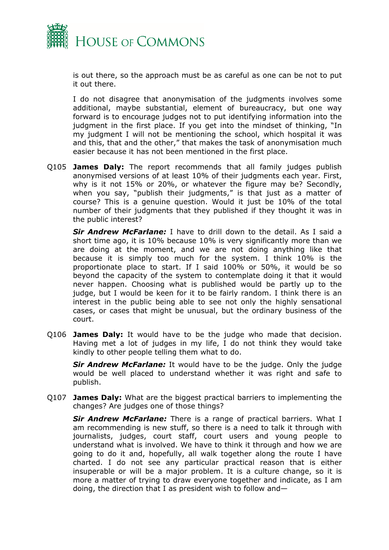

is out there, so the approach must be as careful as one can be not to put it out there.

I do not disagree that anonymisation of the judgments involves some additional, maybe substantial, element of bureaucracy, but one way forward is to encourage judges not to put identifying information into the judgment in the first place. If you get into the mindset of thinking, "In my judgment I will not be mentioning the school, which hospital it was and this, that and the other," that makes the task of anonymisation much easier because it has not been mentioned in the first place.

Q105 **James Daly:** The report recommends that all family judges publish anonymised versions of at least 10% of their judgments each year. First, why is it not 15% or 20%, or whatever the figure may be? Secondly, when you say, "publish their judgments," is that just as a matter of course? This is a genuine question. Would it just be 10% of the total number of their judgments that they published if they thought it was in the public interest?

*Sir Andrew McFarlane:* I have to drill down to the detail. As I said a short time ago, it is 10% because 10% is very significantly more than we are doing at the moment, and we are not doing anything like that because it is simply too much for the system. I think 10% is the proportionate place to start. If I said 100% or 50%, it would be so beyond the capacity of the system to contemplate doing it that it would never happen. Choosing what is published would be partly up to the judge, but I would be keen for it to be fairly random. I think there is an interest in the public being able to see not only the highly sensational cases, or cases that might be unusual, but the ordinary business of the court.

Q106 **James Daly:** It would have to be the judge who made that decision. Having met a lot of judges in my life, I do not think they would take kindly to other people telling them what to do.

*Sir Andrew McFarlane:* It would have to be the judge. Only the judge would be well placed to understand whether it was right and safe to publish.

Q107 **James Daly:** What are the biggest practical barriers to implementing the changes? Are judges one of those things?

*Sir Andrew McFarlane:* There is a range of practical barriers. What I am recommending is new stuff, so there is a need to talk it through with journalists, judges, court staff, court users and young people to understand what is involved. We have to think it through and how we are going to do it and, hopefully, all walk together along the route I have charted. I do not see any particular practical reason that is either insuperable or will be a major problem. It is a culture change, so it is more a matter of trying to draw everyone together and indicate, as I am doing, the direction that I as president wish to follow and—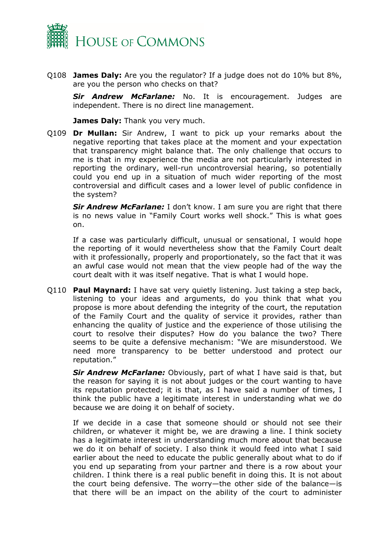

Q108 **James Daly:** Are you the regulator? If a judge does not do 10% but 8%, are you the person who checks on that?

*Sir Andrew McFarlane:* No. It is encouragement. Judges are independent. There is no direct line management.

**James Daly:** Thank you very much.

Q109 **Dr Mullan:** Sir Andrew, I want to pick up your remarks about the negative reporting that takes place at the moment and your expectation that transparency might balance that. The only challenge that occurs to me is that in my experience the media are not particularly interested in reporting the ordinary, well-run uncontroversial hearing, so potentially could you end up in a situation of much wider reporting of the most controversial and difficult cases and a lower level of public confidence in the system?

*Sir Andrew McFarlane:* I don't know. I am sure you are right that there is no news value in "Family Court works well shock." This is what goes on.

If a case was particularly difficult, unusual or sensational, I would hope the reporting of it would nevertheless show that the Family Court dealt with it professionally, properly and proportionately, so the fact that it was an awful case would not mean that the view people had of the way the court dealt with it was itself negative. That is what I would hope.

Q110 **Paul Maynard:** I have sat very quietly listening. Just taking a step back, listening to your ideas and arguments, do you think that what you propose is more about defending the integrity of the court, the reputation of the Family Court and the quality of service it provides, rather than enhancing the quality of justice and the experience of those utilising the court to resolve their disputes? How do you balance the two? There seems to be quite a defensive mechanism: "We are misunderstood. We need more transparency to be better understood and protect our reputation."

*Sir Andrew McFarlane:* Obviously, part of what I have said is that, but the reason for saying it is not about judges or the court wanting to have its reputation protected; it is that, as I have said a number of times, I think the public have a legitimate interest in understanding what we do because we are doing it on behalf of society.

If we decide in a case that someone should or should not see their children, or whatever it might be, we are drawing a line. I think society has a legitimate interest in understanding much more about that because we do it on behalf of society. I also think it would feed into what I said earlier about the need to educate the public generally about what to do if you end up separating from your partner and there is a row about your children. I think there is a real public benefit in doing this. It is not about the court being defensive. The worry—the other side of the balance—is that there will be an impact on the ability of the court to administer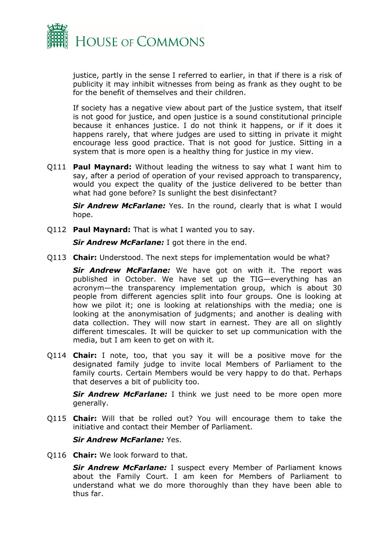

justice, partly in the sense I referred to earlier, in that if there is a risk of publicity it may inhibit witnesses from being as frank as they ought to be for the benefit of themselves and their children.

If society has a negative view about part of the justice system, that itself is not good for justice, and open justice is a sound constitutional principle because it enhances justice. I do not think it happens, or if it does it happens rarely, that where judges are used to sitting in private it might encourage less good practice. That is not good for justice. Sitting in a system that is more open is a healthy thing for justice in my view.

Q111 **Paul Maynard:** Without leading the witness to say what I want him to say, after a period of operation of your revised approach to transparency, would you expect the quality of the justice delivered to be better than what had gone before? Is sunlight the best disinfectant?

*Sir Andrew McFarlane:* Yes. In the round, clearly that is what I would hope.

Q112 **Paul Maynard:** That is what I wanted you to say.

*Sir Andrew McFarlane:* I got there in the end.

Q113 **Chair:** Understood. The next steps for implementation would be what?

*Sir Andrew McFarlane:* We have got on with it. The report was published in October. We have set up the TIG—everything has an acronym—the transparency implementation group, which is about 30 people from different agencies split into four groups. One is looking at how we pilot it; one is looking at relationships with the media; one is looking at the anonymisation of judgments; and another is dealing with data collection. They will now start in earnest. They are all on slightly different timescales. It will be quicker to set up communication with the media, but I am keen to get on with it.

Q114 **Chair:** I note, too, that you say it will be a positive move for the designated family judge to invite local Members of Parliament to the family courts. Certain Members would be very happy to do that. Perhaps that deserves a bit of publicity too.

*Sir Andrew McFarlane:* I think we just need to be more open more generally.

Q115 **Chair:** Will that be rolled out? You will encourage them to take the initiative and contact their Member of Parliament.

#### *Sir Andrew McFarlane:* Yes.

Q116 **Chair:** We look forward to that.

*Sir Andrew McFarlane:* I suspect every Member of Parliament knows about the Family Court. I am keen for Members of Parliament to understand what we do more thoroughly than they have been able to thus far.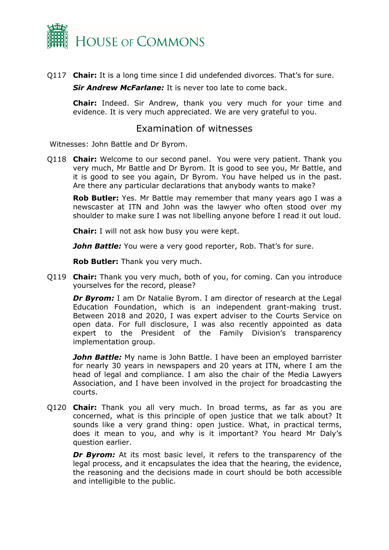

Q117 **Chair:** It is a long time since I did undefended divorces. That's for sure.

*Sir Andrew McFarlane:* It is never too late to come back.

**Chair:** Indeed. Sir Andrew, thank you very much for your time and evidence. It is very much appreciated. We are very grateful to you.

### Examination of witnesses

Witnesses: John Battle and Dr Byrom.

Q118 **Chair:** Welcome to our second panel. You were very patient. Thank you very much, Mr Battle and Dr Byrom. It is good to see you, Mr Battle, and it is good to see you again, Dr Byrom. You have helped us in the past. Are there any particular declarations that anybody wants to make?

**Rob Butler:** Yes. Mr Battle may remember that many years ago I was a newscaster at ITN and John was the lawyer who often stood over my shoulder to make sure I was not libelling anyone before I read it out loud.

**Chair:** I will not ask how busy you were kept.

**John Battle:** You were a very good reporter, Rob. That's for sure.

**Rob Butler:** Thank you very much.

Q119 **Chair:** Thank you very much, both of you, for coming. Can you introduce yourselves for the record, please?

**Dr Byrom:** I am Dr Natalie Byrom. I am director of research at the Legal Education Foundation, which is an independent grant-making trust. Between 2018 and 2020, I was expert adviser to the Courts Service on open data. For full disclosure, I was also recently appointed as data expert to the President of the Family Division's transparency implementation group.

*John Battle:* My name is John Battle. I have been an employed barrister for nearly 30 years in newspapers and 20 years at ITN, where I am the head of legal and compliance. I am also the chair of the Media Lawyers Association, and I have been involved in the project for broadcasting the courts.

Q120 **Chair:** Thank you all very much. In broad terms, as far as you are concerned, what is this principle of open justice that we talk about? It sounds like a very grand thing: open justice. What, in practical terms, does it mean to you, and why is it important? You heard Mr Daly's question earlier.

**Dr Byrom:** At its most basic level, it refers to the transparency of the legal process, and it encapsulates the idea that the hearing, the evidence, the reasoning and the decisions made in court should be both accessible and intelligible to the public.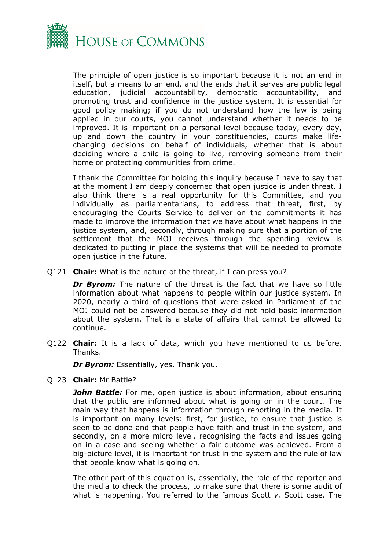

The principle of open justice is so important because it is not an end in itself, but a means to an end, and the ends that it serves are public legal education, judicial accountability, democratic accountability, and promoting trust and confidence in the justice system. It is essential for good policy making; if you do not understand how the law is being applied in our courts, you cannot understand whether it needs to be improved. It is important on a personal level because today, every day, up and down the country in your constituencies, courts make lifechanging decisions on behalf of individuals, whether that is about deciding where a child is going to live, removing someone from their home or protecting communities from crime.

I thank the Committee for holding this inquiry because I have to say that at the moment I am deeply concerned that open justice is under threat. I also think there is a real opportunity for this Committee, and you individually as parliamentarians, to address that threat, first, by encouraging the Courts Service to deliver on the commitments it has made to improve the information that we have about what happens in the justice system, and, secondly, through making sure that a portion of the settlement that the MOJ receives through the spending review is dedicated to putting in place the systems that will be needed to promote open justice in the future.

Q121 **Chair:** What is the nature of the threat, if I can press you?

*Dr Byrom:* The nature of the threat is the fact that we have so little information about what happens to people within our justice system. In 2020, nearly a third of questions that were asked in Parliament of the MOJ could not be answered because they did not hold basic information about the system. That is a state of affairs that cannot be allowed to continue.

Q122 **Chair:** It is a lack of data, which you have mentioned to us before. Thanks.

*Dr Byrom:* Essentially, yes. Thank you.

Q123 **Chair:** Mr Battle?

**John Battle:** For me, open justice is about information, about ensuring that the public are informed about what is going on in the court. The main way that happens is information through reporting in the media. It is important on many levels: first, for justice, to ensure that justice is seen to be done and that people have faith and trust in the system, and secondly, on a more micro level, recognising the facts and issues going on in a case and seeing whether a fair outcome was achieved. From a big-picture level, it is important for trust in the system and the rule of law that people know what is going on.

The other part of this equation is, essentially, the role of the reporter and the media to check the process, to make sure that there is some audit of what is happening. You referred to the famous Scott *v.* Scott case. The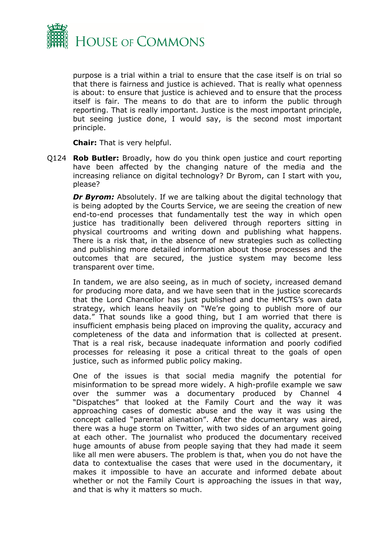

purpose is a trial within a trial to ensure that the case itself is on trial so that there is fairness and justice is achieved. That is really what openness is about: to ensure that justice is achieved and to ensure that the process itself is fair. The means to do that are to inform the public through reporting. That is really important. Justice is the most important principle, but seeing justice done, I would say, is the second most important principle.

**Chair:** That is very helpful.

Q124 **Rob Butler:** Broadly, how do you think open justice and court reporting have been affected by the changing nature of the media and the increasing reliance on digital technology? Dr Byrom, can I start with you, please?

*Dr Byrom:* Absolutely. If we are talking about the digital technology that is being adopted by the Courts Service, we are seeing the creation of new end-to-end processes that fundamentally test the way in which open justice has traditionally been delivered through reporters sitting in physical courtrooms and writing down and publishing what happens. There is a risk that, in the absence of new strategies such as collecting and publishing more detailed information about those processes and the outcomes that are secured, the justice system may become less transparent over time.

In tandem, we are also seeing, as in much of society, increased demand for producing more data, and we have seen that in the justice scorecards that the Lord Chancellor has just published and the HMCTS's own data strategy, which leans heavily on "We're going to publish more of our data." That sounds like a good thing, but I am worried that there is insufficient emphasis being placed on improving the quality, accuracy and completeness of the data and information that is collected at present. That is a real risk, because inadequate information and poorly codified processes for releasing it pose a critical threat to the goals of open justice, such as informed public policy making.

One of the issues is that social media magnify the potential for misinformation to be spread more widely. A high-profile example we saw over the summer was a documentary produced by Channel 4 "Dispatches" that looked at the Family Court and the way it was approaching cases of domestic abuse and the way it was using the concept called "parental alienation". After the documentary was aired, there was a huge storm on Twitter, with two sides of an argument going at each other. The journalist who produced the documentary received huge amounts of abuse from people saying that they had made it seem like all men were abusers. The problem is that, when you do not have the data to contextualise the cases that were used in the documentary, it makes it impossible to have an accurate and informed debate about whether or not the Family Court is approaching the issues in that way, and that is why it matters so much.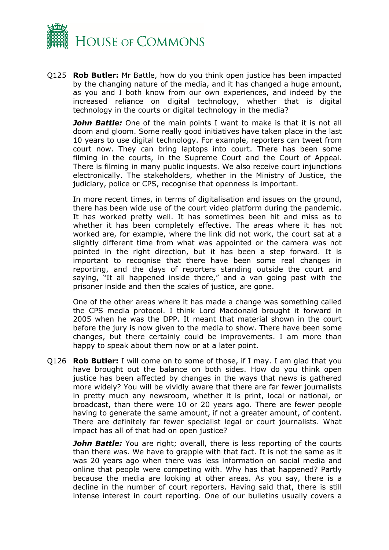

Q125 **Rob Butler:** Mr Battle, how do you think open justice has been impacted by the changing nature of the media, and it has changed a huge amount, as you and I both know from our own experiences, and indeed by the increased reliance on digital technology, whether that is digital technology in the courts or digital technology in the media?

*John Battle:* One of the main points I want to make is that it is not all doom and gloom. Some really good initiatives have taken place in the last 10 years to use digital technology. For example, reporters can tweet from court now. They can bring laptops into court. There has been some filming in the courts, in the Supreme Court and the Court of Appeal. There is filming in many public inquests. We also receive court injunctions electronically. The stakeholders, whether in the Ministry of Justice, the judiciary, police or CPS, recognise that openness is important.

In more recent times, in terms of digitalisation and issues on the ground, there has been wide use of the court video platform during the pandemic. It has worked pretty well. It has sometimes been hit and miss as to whether it has been completely effective. The areas where it has not worked are, for example, where the link did not work, the court sat at a slightly different time from what was appointed or the camera was not pointed in the right direction, but it has been a step forward. It is important to recognise that there have been some real changes in reporting, and the days of reporters standing outside the court and saying, "It all happened inside there," and a van going past with the prisoner inside and then the scales of justice, are gone.

One of the other areas where it has made a change was something called the CPS media protocol. I think Lord Macdonald brought it forward in 2005 when he was the DPP. It meant that material shown in the court before the jury is now given to the media to show. There have been some changes, but there certainly could be improvements. I am more than happy to speak about them now or at a later point.

Q126 **Rob Butler:** I will come on to some of those, if I may. I am glad that you have brought out the balance on both sides. How do you think open justice has been affected by changes in the ways that news is gathered more widely? You will be vividly aware that there are far fewer journalists in pretty much any newsroom, whether it is print, local or national, or broadcast, than there were 10 or 20 years ago. There are fewer people having to generate the same amount, if not a greater amount, of content. There are definitely far fewer specialist legal or court journalists. What impact has all of that had on open justice?

*John Battle:* You are right; overall, there is less reporting of the courts than there was. We have to grapple with that fact. It is not the same as it was 20 years ago when there was less information on social media and online that people were competing with. Why has that happened? Partly because the media are looking at other areas. As you say, there is a decline in the number of court reporters. Having said that, there is still intense interest in court reporting. One of our bulletins usually covers a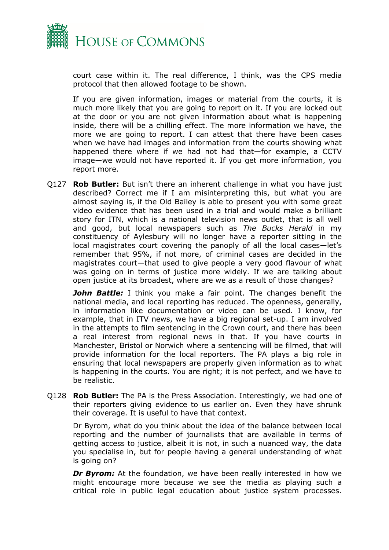

court case within it. The real difference, I think, was the CPS media protocol that then allowed footage to be shown.

If you are given information, images or material from the courts, it is much more likely that you are going to report on it. If you are locked out at the door or you are not given information about what is happening inside, there will be a chilling effect. The more information we have, the more we are going to report. I can attest that there have been cases when we have had images and information from the courts showing what happened there where if we had not had that—for example, a CCTV image—we would not have reported it. If you get more information, you report more.

Q127 **Rob Butler:** But isn't there an inherent challenge in what you have just described? Correct me if I am misinterpreting this, but what you are almost saying is, if the Old Bailey is able to present you with some great video evidence that has been used in a trial and would make a brilliant story for ITN, which is a national television news outlet, that is all well and good, but local newspapers such as *The Bucks Herald* in my constituency of Aylesbury will no longer have a reporter sitting in the local magistrates court covering the panoply of all the local cases—let's remember that 95%, if not more, of criminal cases are decided in the magistrates court—that used to give people a very good flavour of what was going on in terms of justice more widely. If we are talking about open justice at its broadest, where are we as a result of those changes?

**John Battle:** I think you make a fair point. The changes benefit the national media, and local reporting has reduced. The openness, generally, in information like documentation or video can be used. I know, for example, that in ITV news, we have a big regional set-up. I am involved in the attempts to film sentencing in the Crown court, and there has been a real interest from regional news in that. If you have courts in Manchester, Bristol or Norwich where a sentencing will be filmed, that will provide information for the local reporters. The PA plays a big role in ensuring that local newspapers are properly given information as to what is happening in the courts. You are right; it is not perfect, and we have to be realistic.

Q128 **Rob Butler:** The PA is the Press Association. Interestingly, we had one of their reporters giving evidence to us earlier on. Even they have shrunk their coverage. It is useful to have that context.

Dr Byrom, what do you think about the idea of the balance between local reporting and the number of journalists that are available in terms of getting access to justice, albeit it is not, in such a nuanced way, the data you specialise in, but for people having a general understanding of what is going on?

**Dr Byrom:** At the foundation, we have been really interested in how we might encourage more because we see the media as playing such a critical role in public legal education about justice system processes.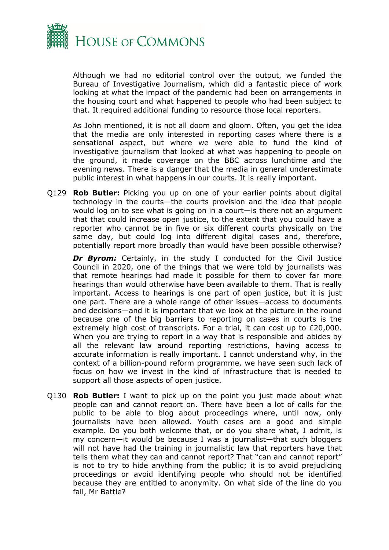

Although we had no editorial control over the output, we funded the Bureau of Investigative Journalism, which did a fantastic piece of work looking at what the impact of the pandemic had been on arrangements in the housing court and what happened to people who had been subject to that. It required additional funding to resource those local reporters.

As John mentioned, it is not all doom and gloom. Often, you get the idea that the media are only interested in reporting cases where there is a sensational aspect, but where we were able to fund the kind of investigative journalism that looked at what was happening to people on the ground, it made coverage on the BBC across lunchtime and the evening news. There is a danger that the media in general underestimate public interest in what happens in our courts. It is really important.

Q129 **Rob Butler:** Picking you up on one of your earlier points about digital technology in the courts—the courts provision and the idea that people would log on to see what is going on in a court—is there not an argument that that could increase open justice, to the extent that you could have a reporter who cannot be in five or six different courts physically on the same day, but could log into different digital cases and, therefore, potentially report more broadly than would have been possible otherwise?

**Dr Byrom:** Certainly, in the study I conducted for the Civil Justice Council in 2020, one of the things that we were told by journalists was that remote hearings had made it possible for them to cover far more hearings than would otherwise have been available to them. That is really important. Access to hearings is one part of open justice, but it is just one part. There are a whole range of other issues—access to documents and decisions—and it is important that we look at the picture in the round because one of the big barriers to reporting on cases in courts is the extremely high cost of transcripts. For a trial, it can cost up to £20,000. When you are trying to report in a way that is responsible and abides by all the relevant law around reporting restrictions, having access to accurate information is really important. I cannot understand why, in the context of a billion-pound reform programme, we have seen such lack of focus on how we invest in the kind of infrastructure that is needed to support all those aspects of open justice.

Q130 **Rob Butler:** I want to pick up on the point you just made about what people can and cannot report on. There have been a lot of calls for the public to be able to blog about proceedings where, until now, only journalists have been allowed. Youth cases are a good and simple example. Do you both welcome that, or do you share what, I admit, is my concern—it would be because I was a journalist—that such bloggers will not have had the training in journalistic law that reporters have that tells them what they can and cannot report? That "can and cannot report" is not to try to hide anything from the public; it is to avoid prejudicing proceedings or avoid identifying people who should not be identified because they are entitled to anonymity. On what side of the line do you fall, Mr Battle?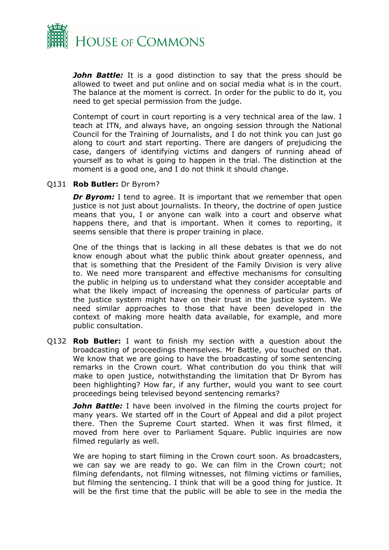

*John Battle:* It is a good distinction to say that the press should be allowed to tweet and put online and on social media what is in the court. The balance at the moment is correct. In order for the public to do it, you need to get special permission from the judge.

Contempt of court in court reporting is a very technical area of the law. I teach at ITN, and always have, an ongoing session through the National Council for the Training of Journalists, and I do not think you can just go along to court and start reporting. There are dangers of prejudicing the case, dangers of identifying victims and dangers of running ahead of yourself as to what is going to happen in the trial. The distinction at the moment is a good one, and I do not think it should change.

#### Q131 **Rob Butler:** Dr Byrom?

**Dr Byrom:** I tend to agree. It is important that we remember that open justice is not just about journalists. In theory, the doctrine of open justice means that you, I or anyone can walk into a court and observe what happens there, and that is important. When it comes to reporting, it seems sensible that there is proper training in place.

One of the things that is lacking in all these debates is that we do not know enough about what the public think about greater openness, and that is something that the President of the Family Division is very alive to. We need more transparent and effective mechanisms for consulting the public in helping us to understand what they consider acceptable and what the likely impact of increasing the openness of particular parts of the justice system might have on their trust in the justice system. We need similar approaches to those that have been developed in the context of making more health data available, for example, and more public consultation.

Q132 **Rob Butler:** I want to finish my section with a question about the broadcasting of proceedings themselves. Mr Battle, you touched on that. We know that we are going to have the broadcasting of some sentencing remarks in the Crown court. What contribution do you think that will make to open justice, notwithstanding the limitation that Dr Byrom has been highlighting? How far, if any further, would you want to see court proceedings being televised beyond sentencing remarks?

**John Battle:** I have been involved in the filming the courts project for many years. We started off in the Court of Appeal and did a pilot project there. Then the Supreme Court started. When it was first filmed, it moved from here over to Parliament Square. Public inquiries are now filmed regularly as well.

We are hoping to start filming in the Crown court soon. As broadcasters, we can say we are ready to go. We can film in the Crown court; not filming defendants, not filming witnesses, not filming victims or families, but filming the sentencing. I think that will be a good thing for justice. It will be the first time that the public will be able to see in the media the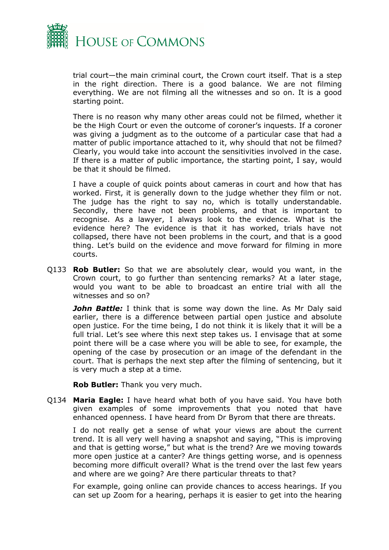

trial court—the main criminal court, the Crown court itself. That is a step in the right direction. There is a good balance. We are not filming everything. We are not filming all the witnesses and so on. It is a good starting point.

There is no reason why many other areas could not be filmed, whether it be the High Court or even the outcome of coroner's inquests. If a coroner was giving a judgment as to the outcome of a particular case that had a matter of public importance attached to it, why should that not be filmed? Clearly, you would take into account the sensitivities involved in the case. If there is a matter of public importance, the starting point, I say, would be that it should be filmed.

I have a couple of quick points about cameras in court and how that has worked. First, it is generally down to the judge whether they film or not. The judge has the right to say no, which is totally understandable. Secondly, there have not been problems, and that is important to recognise. As a lawyer, I always look to the evidence. What is the evidence here? The evidence is that it has worked, trials have not collapsed, there have not been problems in the court, and that is a good thing. Let's build on the evidence and move forward for filming in more courts.

Q133 **Rob Butler:** So that we are absolutely clear, would you want, in the Crown court, to go further than sentencing remarks? At a later stage, would you want to be able to broadcast an entire trial with all the witnesses and so on?

*John Battle:* I think that is some way down the line. As Mr Daly said earlier, there is a difference between partial open justice and absolute open justice. For the time being, I do not think it is likely that it will be a full trial. Let's see where this next step takes us. I envisage that at some point there will be a case where you will be able to see, for example, the opening of the case by prosecution or an image of the defendant in the court. That is perhaps the next step after the filming of sentencing, but it is very much a step at a time.

**Rob Butler:** Thank you very much.

Q134 **Maria Eagle:** I have heard what both of you have said. You have both given examples of some improvements that you noted that have enhanced openness. I have heard from Dr Byrom that there are threats.

I do not really get a sense of what your views are about the current trend. It is all very well having a snapshot and saying, "This is improving and that is getting worse," but what is the trend? Are we moving towards more open justice at a canter? Are things getting worse, and is openness becoming more difficult overall? What is the trend over the last few years and where are we going? Are there particular threats to that?

For example, going online can provide chances to access hearings. If you can set up Zoom for a hearing, perhaps it is easier to get into the hearing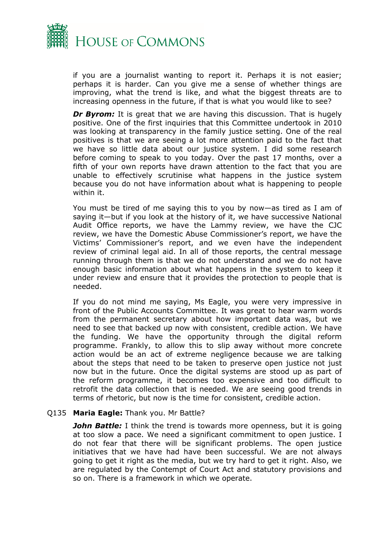

if you are a journalist wanting to report it. Perhaps it is not easier; perhaps it is harder. Can you give me a sense of whether things are improving, what the trend is like, and what the biggest threats are to increasing openness in the future, if that is what you would like to see?

*Dr Byrom:* It is great that we are having this discussion. That is hugely positive. One of the first inquiries that this Committee undertook in 2010 was looking at transparency in the family justice setting. One of the real positives is that we are seeing a lot more attention paid to the fact that we have so little data about our justice system. I did some research before coming to speak to you today. Over the past 17 months, over a fifth of your own reports have drawn attention to the fact that you are unable to effectively scrutinise what happens in the justice system because you do not have information about what is happening to people within it.

You must be tired of me saying this to you by now—as tired as I am of saying it—but if you look at the history of it, we have successive National Audit Office reports, we have the Lammy review, we have the CJC review, we have the Domestic Abuse Commissioner's report, we have the Victims' Commissioner's report, and we even have the independent review of criminal legal aid. In all of those reports, the central message running through them is that we do not understand and we do not have enough basic information about what happens in the system to keep it under review and ensure that it provides the protection to people that is needed.

If you do not mind me saying, Ms Eagle, you were very impressive in front of the Public Accounts Committee. It was great to hear warm words from the permanent secretary about how important data was, but we need to see that backed up now with consistent, credible action. We have the funding. We have the opportunity through the digital reform programme. Frankly, to allow this to slip away without more concrete action would be an act of extreme negligence because we are talking about the steps that need to be taken to preserve open justice not just now but in the future. Once the digital systems are stood up as part of the reform programme, it becomes too expensive and too difficult to retrofit the data collection that is needed. We are seeing good trends in terms of rhetoric, but now is the time for consistent, credible action.

#### Q135 **Maria Eagle:** Thank you. Mr Battle?

*John Battle:* I think the trend is towards more openness, but it is going at too slow a pace. We need a significant commitment to open justice. I do not fear that there will be significant problems. The open justice initiatives that we have had have been successful. We are not always going to get it right as the media, but we try hard to get it right. Also, we are regulated by the Contempt of Court Act and statutory provisions and so on. There is a framework in which we operate.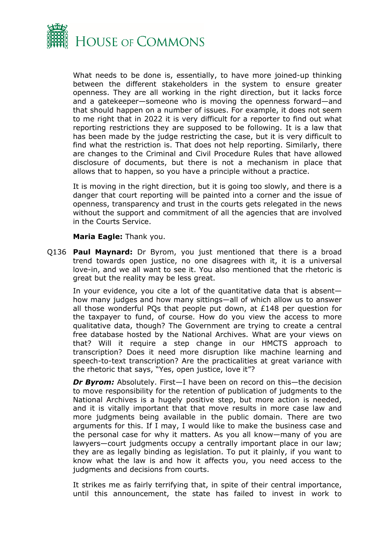

What needs to be done is, essentially, to have more joined-up thinking between the different stakeholders in the system to ensure greater openness. They are all working in the right direction, but it lacks force and a gatekeeper—someone who is moving the openness forward—and that should happen on a number of issues. For example, it does not seem to me right that in 2022 it is very difficult for a reporter to find out what reporting restrictions they are supposed to be following. It is a law that has been made by the judge restricting the case, but it is very difficult to find what the restriction is. That does not help reporting. Similarly, there are changes to the Criminal and Civil Procedure Rules that have allowed disclosure of documents, but there is not a mechanism in place that allows that to happen, so you have a principle without a practice.

It is moving in the right direction, but it is going too slowly, and there is a danger that court reporting will be painted into a corner and the issue of openness, transparency and trust in the courts gets relegated in the news without the support and commitment of all the agencies that are involved in the Courts Service.

#### **Maria Eagle:** Thank you.

Q136 **Paul Maynard:** Dr Byrom, you just mentioned that there is a broad trend towards open justice, no one disagrees with it, it is a universal love-in, and we all want to see it. You also mentioned that the rhetoric is great but the reality may be less great.

In your evidence, you cite a lot of the quantitative data that is absent how many judges and how many sittings—all of which allow us to answer all those wonderful PQs that people put down, at £148 per question for the taxpayer to fund, of course. How do you view the access to more qualitative data, though? The Government are trying to create a central free database hosted by the National Archives. What are your views on that? Will it require a step change in our HMCTS approach to transcription? Does it need more disruption like machine learning and speech-to-text transcription? Are the practicalities at great variance with the rhetoric that says, "Yes, open justice, love it"?

*Dr Byrom:* Absolutely. First—I have been on record on this—the decision to move responsibility for the retention of publication of judgments to the National Archives is a hugely positive step, but more action is needed, and it is vitally important that that move results in more case law and more judgments being available in the public domain. There are two arguments for this. If I may, I would like to make the business case and the personal case for why it matters. As you all know—many of you are lawyers—court judgments occupy a centrally important place in our law; they are as legally binding as legislation. To put it plainly, if you want to know what the law is and how it affects you, you need access to the judgments and decisions from courts.

It strikes me as fairly terrifying that, in spite of their central importance, until this announcement, the state has failed to invest in work to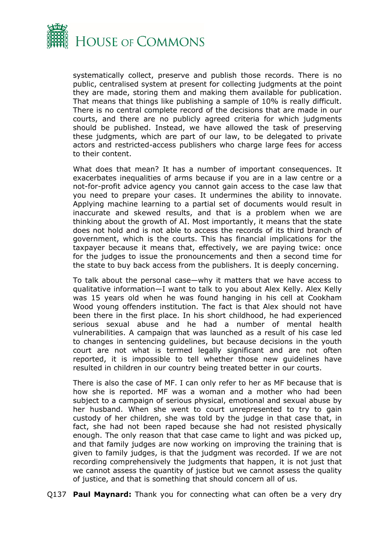

systematically collect, preserve and publish those records. There is no public, centralised system at present for collecting judgments at the point they are made, storing them and making them available for publication. That means that things like publishing a sample of 10% is really difficult. There is no central complete record of the decisions that are made in our courts, and there are no publicly agreed criteria for which judgments should be published. Instead, we have allowed the task of preserving these judgments, which are part of our law, to be delegated to private actors and restricted-access publishers who charge large fees for access to their content.

What does that mean? It has a number of important consequences. It exacerbates inequalities of arms because if you are in a law centre or a not-for-profit advice agency you cannot gain access to the case law that you need to prepare your cases. It undermines the ability to innovate. Applying machine learning to a partial set of documents would result in inaccurate and skewed results, and that is a problem when we are thinking about the growth of AI. Most importantly, it means that the state does not hold and is not able to access the records of its third branch of government, which is the courts. This has financial implications for the taxpayer because it means that, effectively, we are paying twice: once for the judges to issue the pronouncements and then a second time for the state to buy back access from the publishers. It is deeply concerning.

To talk about the personal case—why it matters that we have access to qualitative information—I want to talk to you about Alex Kelly. Alex Kelly was 15 years old when he was found hanging in his cell at Cookham Wood young offenders institution. The fact is that Alex should not have been there in the first place. In his short childhood, he had experienced serious sexual abuse and he had a number of mental health vulnerabilities. A campaign that was launched as a result of his case led to changes in sentencing guidelines, but because decisions in the youth court are not what is termed legally significant and are not often reported, it is impossible to tell whether those new guidelines have resulted in children in our country being treated better in our courts.

There is also the case of MF. I can only refer to her as MF because that is how she is reported. MF was a woman and a mother who had been subject to a campaign of serious physical, emotional and sexual abuse by her husband. When she went to court unrepresented to try to gain custody of her children, she was told by the judge in that case that, in fact, she had not been raped because she had not resisted physically enough. The only reason that that case came to light and was picked up, and that family judges are now working on improving the training that is given to family judges, is that the judgment was recorded. If we are not recording comprehensively the judgments that happen, it is not just that we cannot assess the quantity of justice but we cannot assess the quality of justice, and that is something that should concern all of us.

Q137 **Paul Maynard:** Thank you for connecting what can often be a very dry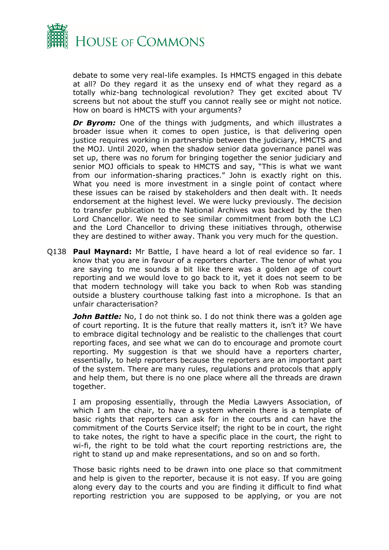

debate to some very real-life examples. Is HMCTS engaged in this debate at all? Do they regard it as the unsexy end of what they regard as a totally whiz-bang technological revolution? They get excited about TV screens but not about the stuff you cannot really see or might not notice. How on board is HMCTS with your arguments?

**Dr Byrom:** One of the things with judgments, and which illustrates a broader issue when it comes to open justice, is that delivering open justice requires working in partnership between the judiciary, HMCTS and the MOJ. Until 2020, when the shadow senior data governance panel was set up, there was no forum for bringing together the senior judiciary and senior MOJ officials to speak to HMCTS and say, "This is what we want from our information-sharing practices." John is exactly right on this. What you need is more investment in a single point of contact where these issues can be raised by stakeholders and then dealt with. It needs endorsement at the highest level. We were lucky previously. The decision to transfer publication to the National Archives was backed by the then Lord Chancellor. We need to see similar commitment from both the LCJ and the Lord Chancellor to driving these initiatives through, otherwise they are destined to wither away. Thank you very much for the question.

Q138 **Paul Maynard:** Mr Battle, I have heard a lot of real evidence so far. I know that you are in favour of a reporters charter. The tenor of what you are saying to me sounds a bit like there was a golden age of court reporting and we would love to go back to it, yet it does not seem to be that modern technology will take you back to when Rob was standing outside a blustery courthouse talking fast into a microphone. Is that an unfair characterisation?

*John Battle:* No, I do not think so. I do not think there was a golden age of court reporting. It is the future that really matters it, isn't it? We have to embrace digital technology and be realistic to the challenges that court reporting faces, and see what we can do to encourage and promote court reporting. My suggestion is that we should have a reporters charter, essentially, to help reporters because the reporters are an important part of the system. There are many rules, regulations and protocols that apply and help them, but there is no one place where all the threads are drawn together.

I am proposing essentially, through the Media Lawyers Association, of which I am the chair, to have a system wherein there is a template of basic rights that reporters can ask for in the courts and can have the commitment of the Courts Service itself; the right to be in court, the right to take notes, the right to have a specific place in the court, the right to wi-fi, the right to be told what the court reporting restrictions are, the right to stand up and make representations, and so on and so forth.

Those basic rights need to be drawn into one place so that commitment and help is given to the reporter, because it is not easy. If you are going along every day to the courts and you are finding it difficult to find what reporting restriction you are supposed to be applying, or you are not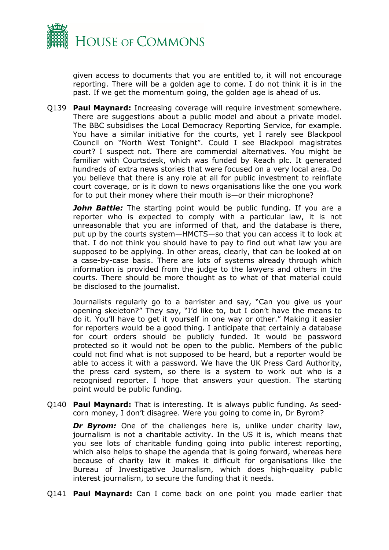

given access to documents that you are entitled to, it will not encourage reporting. There will be a golden age to come. I do not think it is in the past. If we get the momentum going, the golden age is ahead of us.

Q139 **Paul Maynard:** Increasing coverage will require investment somewhere. There are suggestions about a public model and about a private model. The BBC subsidises the Local Democracy Reporting Service, for example. You have a similar initiative for the courts, yet I rarely see Blackpool Council on "North West Tonight". Could I see Blackpool magistrates court? I suspect not. There are commercial alternatives. You might be familiar with Courtsdesk, which was funded by Reach plc. It generated hundreds of extra news stories that were focused on a very local area. Do you believe that there is any role at all for public investment to reinflate court coverage, or is it down to news organisations like the one you work for to put their money where their mouth is—or their microphone?

*John Battle:* The starting point would be public funding. If you are a reporter who is expected to comply with a particular law, it is not unreasonable that you are informed of that, and the database is there, put up by the courts system—HMCTS—so that you can access it to look at that. I do not think you should have to pay to find out what law you are supposed to be applying. In other areas, clearly, that can be looked at on a case-by-case basis. There are lots of systems already through which information is provided from the judge to the lawyers and others in the courts. There should be more thought as to what of that material could be disclosed to the journalist.

Journalists regularly go to a barrister and say, "Can you give us your opening skeleton?" They say, "I'd like to, but I don't have the means to do it. You'll have to get it yourself in one way or other." Making it easier for reporters would be a good thing. I anticipate that certainly a database for court orders should be publicly funded. It would be password protected so it would not be open to the public. Members of the public could not find what is not supposed to be heard, but a reporter would be able to access it with a password. We have the UK Press Card Authority, the press card system, so there is a system to work out who is a recognised reporter. I hope that answers your question. The starting point would be public funding.

Q140 **Paul Maynard:** That is interesting. It is always public funding. As seedcorn money, I don't disagree. Were you going to come in, Dr Byrom?

**Dr Byrom:** One of the challenges here is, unlike under charity law, journalism is not a charitable activity. In the US it is, which means that you see lots of charitable funding going into public interest reporting, which also helps to shape the agenda that is going forward, whereas here because of charity law it makes it difficult for organisations like the Bureau of Investigative Journalism, which does high-quality public interest journalism, to secure the funding that it needs.

Q141 **Paul Maynard:** Can I come back on one point you made earlier that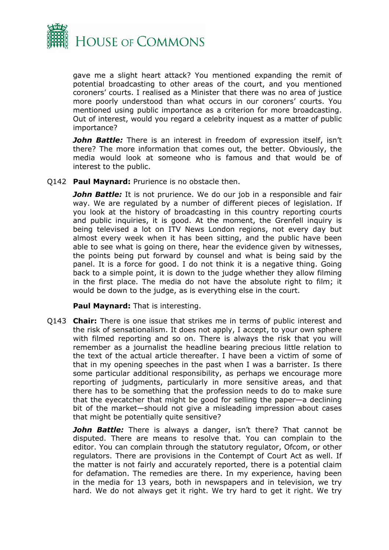

gave me a slight heart attack? You mentioned expanding the remit of potential broadcasting to other areas of the court, and you mentioned coroners' courts. I realised as a Minister that there was no area of justice more poorly understood than what occurs in our coroners' courts. You mentioned using public importance as a criterion for more broadcasting. Out of interest, would you regard a celebrity inquest as a matter of public importance?

*John Battle:* There is an interest in freedom of expression itself, isn't there? The more information that comes out, the better. Obviously, the media would look at someone who is famous and that would be of interest to the public.

Q142 **Paul Maynard:** Prurience is no obstacle then.

**John Battle:** It is not prurience. We do our job in a responsible and fair way. We are regulated by a number of different pieces of legislation. If you look at the history of broadcasting in this country reporting courts and public inquiries, it is good. At the moment, the Grenfell inquiry is being televised a lot on ITV News London regions, not every day but almost every week when it has been sitting, and the public have been able to see what is going on there, hear the evidence given by witnesses, the points being put forward by counsel and what is being said by the panel. It is a force for good. I do not think it is a negative thing. Going back to a simple point, it is down to the judge whether they allow filming in the first place. The media do not have the absolute right to film; it would be down to the judge, as is everything else in the court.

**Paul Maynard:** That is interesting.

Q143 **Chair:** There is one issue that strikes me in terms of public interest and the risk of sensationalism. It does not apply, I accept, to your own sphere with filmed reporting and so on. There is always the risk that you will remember as a journalist the headline bearing precious little relation to the text of the actual article thereafter. I have been a victim of some of that in my opening speeches in the past when I was a barrister. Is there some particular additional responsibility, as perhaps we encourage more reporting of judgments, particularly in more sensitive areas, and that there has to be something that the profession needs to do to make sure that the eyecatcher that might be good for selling the paper—a declining bit of the market—should not give a misleading impression about cases that might be potentially quite sensitive?

*John Battle:* There is always a danger, isn't there? That cannot be disputed. There are means to resolve that. You can complain to the editor. You can complain through the statutory regulator, Ofcom, or other regulators. There are provisions in the Contempt of Court Act as well. If the matter is not fairly and accurately reported, there is a potential claim for defamation. The remedies are there. In my experience, having been in the media for 13 years, both in newspapers and in television, we try hard. We do not always get it right. We try hard to get it right. We try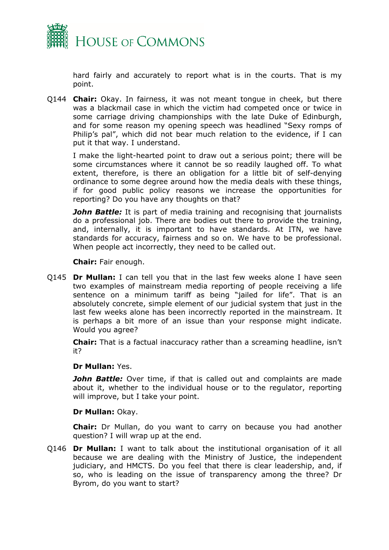

hard fairly and accurately to report what is in the courts. That is my point.

Q144 **Chair:** Okay. In fairness, it was not meant tongue in cheek, but there was a blackmail case in which the victim had competed once or twice in some carriage driving championships with the late Duke of Edinburgh, and for some reason my opening speech was headlined "Sexy romps of Philip's pal", which did not bear much relation to the evidence, if I can put it that way. I understand.

I make the light-hearted point to draw out a serious point; there will be some circumstances where it cannot be so readily laughed off. To what extent, therefore, is there an obligation for a little bit of self-denying ordinance to some degree around how the media deals with these things, if for good public policy reasons we increase the opportunities for reporting? Do you have any thoughts on that?

*John Battle:* It is part of media training and recognising that journalists do a professional job. There are bodies out there to provide the training, and, internally, it is important to have standards. At ITN, we have standards for accuracy, fairness and so on. We have to be professional. When people act incorrectly, they need to be called out.

**Chair:** Fair enough.

Q145 **Dr Mullan:** I can tell you that in the last few weeks alone I have seen two examples of mainstream media reporting of people receiving a life sentence on a minimum tariff as being "jailed for life". That is an absolutely concrete, simple element of our judicial system that just in the last few weeks alone has been incorrectly reported in the mainstream. It is perhaps a bit more of an issue than your response might indicate. Would you agree?

**Chair:** That is a factual inaccuracy rather than a screaming headline, isn't it?

#### **Dr Mullan:** Yes.

**John Battle:** Over time, if that is called out and complaints are made about it, whether to the individual house or to the regulator, reporting will improve, but I take your point.

#### **Dr Mullan:** Okay.

**Chair:** Dr Mullan, do you want to carry on because you had another question? I will wrap up at the end.

Q146 **Dr Mullan:** I want to talk about the institutional organisation of it all because we are dealing with the Ministry of Justice, the independent judiciary, and HMCTS. Do you feel that there is clear leadership, and, if so, who is leading on the issue of transparency among the three? Dr Byrom, do you want to start?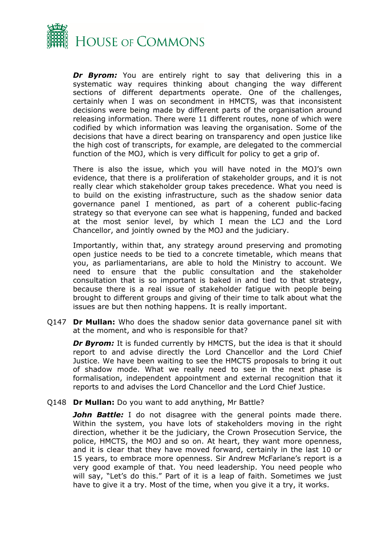

*Dr Byrom:* You are entirely right to say that delivering this in a systematic way requires thinking about changing the way different sections of different departments operate. One of the challenges, certainly when I was on secondment in HMCTS, was that inconsistent decisions were being made by different parts of the organisation around releasing information. There were 11 different routes, none of which were codified by which information was leaving the organisation. Some of the decisions that have a direct bearing on transparency and open justice like the high cost of transcripts, for example, are delegated to the commercial function of the MOJ, which is very difficult for policy to get a grip of.

There is also the issue, which you will have noted in the MOJ's own evidence, that there is a proliferation of stakeholder groups, and it is not really clear which stakeholder group takes precedence. What you need is to build on the existing infrastructure, such as the shadow senior data governance panel I mentioned, as part of a coherent public-facing strategy so that everyone can see what is happening, funded and backed at the most senior level, by which I mean the LCJ and the Lord Chancellor, and jointly owned by the MOJ and the judiciary.

Importantly, within that, any strategy around preserving and promoting open justice needs to be tied to a concrete timetable, which means that you, as parliamentarians, are able to hold the Ministry to account. We need to ensure that the public consultation and the stakeholder consultation that is so important is baked in and tied to that strategy, because there is a real issue of stakeholder fatigue with people being brought to different groups and giving of their time to talk about what the issues are but then nothing happens. It is really important.

Q147 **Dr Mullan:** Who does the shadow senior data governance panel sit with at the moment, and who is responsible for that?

**Dr Byrom:** It is funded currently by HMCTS, but the idea is that it should report to and advise directly the Lord Chancellor and the Lord Chief Justice. We have been waiting to see the HMCTS proposals to bring it out of shadow mode. What we really need to see in the next phase is formalisation, independent appointment and external recognition that it reports to and advises the Lord Chancellor and the Lord Chief Justice.

#### Q148 **Dr Mullan:** Do you want to add anything, Mr Battle?

*John Battle:* I do not disagree with the general points made there. Within the system, you have lots of stakeholders moving in the right direction, whether it be the judiciary, the Crown Prosecution Service, the police, HMCTS, the MOJ and so on. At heart, they want more openness, and it is clear that they have moved forward, certainly in the last 10 or 15 years, to embrace more openness. Sir Andrew McFarlane's report is a very good example of that. You need leadership. You need people who will say, "Let's do this." Part of it is a leap of faith. Sometimes we just have to give it a try. Most of the time, when you give it a try, it works.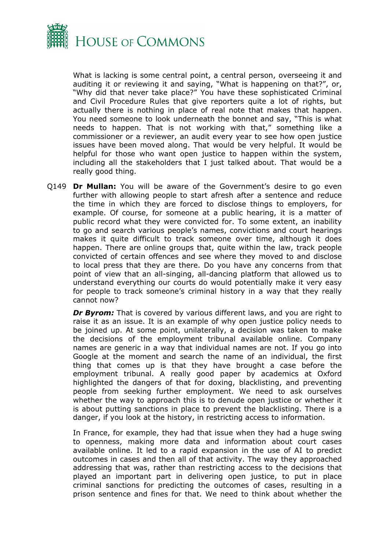

What is lacking is some central point, a central person, overseeing it and auditing it or reviewing it and saying, "What is happening on that?", or, "Why did that never take place?" You have these sophisticated Criminal and Civil Procedure Rules that give reporters quite a lot of rights, but actually there is nothing in place of real note that makes that happen. You need someone to look underneath the bonnet and say, "This is what needs to happen. That is not working with that," something like a commissioner or a reviewer, an audit every year to see how open justice issues have been moved along. That would be very helpful. It would be helpful for those who want open justice to happen within the system, including all the stakeholders that I just talked about. That would be a really good thing.

Q149 **Dr Mullan:** You will be aware of the Government's desire to go even further with allowing people to start afresh after a sentence and reduce the time in which they are forced to disclose things to employers, for example. Of course, for someone at a public hearing, it is a matter of public record what they were convicted for. To some extent, an inability to go and search various people's names, convictions and court hearings makes it quite difficult to track someone over time, although it does happen. There are online groups that, quite within the law, track people convicted of certain offences and see where they moved to and disclose to local press that they are there. Do you have any concerns from that point of view that an all-singing, all-dancing platform that allowed us to understand everything our courts do would potentially make it very easy for people to track someone's criminal history in a way that they really cannot now?

**Dr Byrom:** That is covered by various different laws, and you are right to raise it as an issue. It is an example of why open justice policy needs to be joined up. At some point, unilaterally, a decision was taken to make the decisions of the employment tribunal available online. Company names are generic in a way that individual names are not. If you go into Google at the moment and search the name of an individual, the first thing that comes up is that they have brought a case before the employment tribunal. A really good paper by academics at Oxford highlighted the dangers of that for doxing, blacklisting, and preventing people from seeking further employment. We need to ask ourselves whether the way to approach this is to denude open justice or whether it is about putting sanctions in place to prevent the blacklisting. There is a danger, if you look at the history, in restricting access to information.

In France, for example, they had that issue when they had a huge swing to openness, making more data and information about court cases available online. It led to a rapid expansion in the use of AI to predict outcomes in cases and then all of that activity. The way they approached addressing that was, rather than restricting access to the decisions that played an important part in delivering open justice, to put in place criminal sanctions for predicting the outcomes of cases, resulting in a prison sentence and fines for that. We need to think about whether the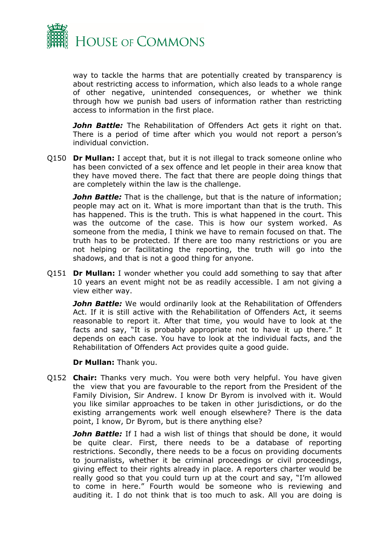

way to tackle the harms that are potentially created by transparency is about restricting access to information, which also leads to a whole range of other negative, unintended consequences, or whether we think through how we punish bad users of information rather than restricting access to information in the first place.

**John Battle:** The Rehabilitation of Offenders Act gets it right on that. There is a period of time after which you would not report a person's individual conviction.

Q150 **Dr Mullan:** I accept that, but it is not illegal to track someone online who has been convicted of a sex offence and let people in their area know that they have moved there. The fact that there are people doing things that are completely within the law is the challenge.

*John Battle:* That is the challenge, but that is the nature of information; people may act on it. What is more important than that is the truth. This has happened. This is the truth. This is what happened in the court. This was the outcome of the case. This is how our system worked. As someone from the media, I think we have to remain focused on that. The truth has to be protected. If there are too many restrictions or you are not helping or facilitating the reporting, the truth will go into the shadows, and that is not a good thing for anyone.

Q151 **Dr Mullan:** I wonder whether you could add something to say that after 10 years an event might not be as readily accessible. I am not giving a view either way.

**John Battle:** We would ordinarily look at the Rehabilitation of Offenders Act. If it is still active with the Rehabilitation of Offenders Act, it seems reasonable to report it. After that time, you would have to look at the facts and say, "It is probably appropriate not to have it up there." It depends on each case. You have to look at the individual facts, and the Rehabilitation of Offenders Act provides quite a good guide.

**Dr Mullan:** Thank you.

Q152 **Chair:** Thanks very much. You were both very helpful. You have given the view that you are favourable to the report from the President of the Family Division, Sir Andrew. I know Dr Byrom is involved with it. Would you like similar approaches to be taken in other jurisdictions, or do the existing arrangements work well enough elsewhere? There is the data point, I know, Dr Byrom, but is there anything else?

**John Battle:** If I had a wish list of things that should be done, it would be quite clear. First, there needs to be a database of reporting restrictions. Secondly, there needs to be a focus on providing documents to journalists, whether it be criminal proceedings or civil proceedings, giving effect to their rights already in place. A reporters charter would be really good so that you could turn up at the court and say, "I'm allowed to come in here." Fourth would be someone who is reviewing and auditing it. I do not think that is too much to ask. All you are doing is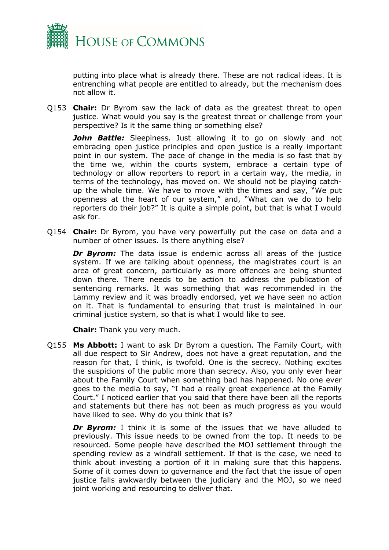

putting into place what is already there. These are not radical ideas. It is entrenching what people are entitled to already, but the mechanism does not allow it.

Q153 **Chair:** Dr Byrom saw the lack of data as the greatest threat to open justice. What would you say is the greatest threat or challenge from your perspective? Is it the same thing or something else?

**John Battle:** Sleepiness. Just allowing it to go on slowly and not embracing open justice principles and open justice is a really important point in our system. The pace of change in the media is so fast that by the time we, within the courts system, embrace a certain type of technology or allow reporters to report in a certain way, the media, in terms of the technology, has moved on. We should not be playing catchup the whole time. We have to move with the times and say, "We put openness at the heart of our system," and, "What can we do to help reporters do their job?" It is quite a simple point, but that is what I would ask for.

Q154 **Chair:** Dr Byrom, you have very powerfully put the case on data and a number of other issues. Is there anything else?

**Dr Byrom:** The data issue is endemic across all areas of the justice system. If we are talking about openness, the magistrates court is an area of great concern, particularly as more offences are being shunted down there. There needs to be action to address the publication of sentencing remarks. It was something that was recommended in the Lammy review and it was broadly endorsed, yet we have seen no action on it. That is fundamental to ensuring that trust is maintained in our criminal justice system, so that is what I would like to see.

**Chair:** Thank you very much.

Q155 **Ms Abbott:** I want to ask Dr Byrom a question. The Family Court, with all due respect to Sir Andrew, does not have a great reputation, and the reason for that, I think, is twofold. One is the secrecy. Nothing excites the suspicions of the public more than secrecy. Also, you only ever hear about the Family Court when something bad has happened. No one ever goes to the media to say, "I had a really great experience at the Family Court." I noticed earlier that you said that there have been all the reports and statements but there has not been as much progress as you would have liked to see. Why do you think that is?

**Dr Byrom:** I think it is some of the issues that we have alluded to previously. This issue needs to be owned from the top. It needs to be resourced. Some people have described the MOJ settlement through the spending review as a windfall settlement. If that is the case, we need to think about investing a portion of it in making sure that this happens. Some of it comes down to governance and the fact that the issue of open justice falls awkwardly between the judiciary and the MOJ, so we need joint working and resourcing to deliver that.